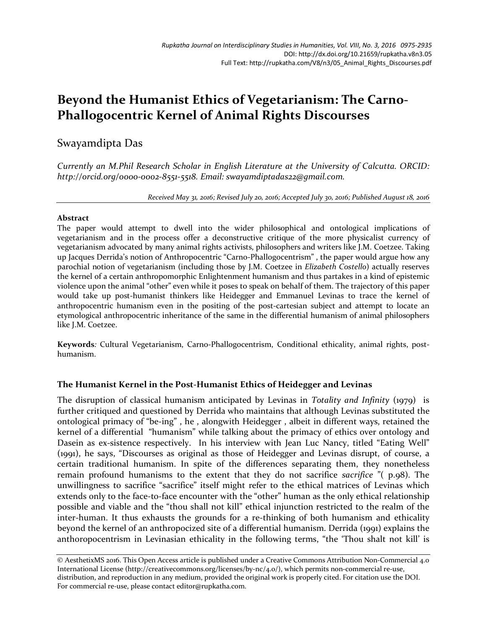# **Beyond the Humanist Ethics of Vegetarianism: The Carno-Phallogocentric Kernel of Animal Rights Discourses**

# Swayamdipta Das

*Currently an M.Phil Research Scholar in English Literature at the University of Calcutta. ORCID: http://orcid.org/0000-0002-8551-5518. Email: swayamdiptadas22@gmail.com.*

*Received May 31, 2016; Revised July 20, 2016; Accepted July 30, 2016; Published August 18, 2016*

#### **Abstract**

The paper would attempt to dwell into the wider philosophical and ontological implications of vegetarianism and in the process offer a deconstructive critique of the more physicalist currency of vegetarianism advocated by many animal rights activists, philosophers and writers like J.M. Coetzee. Taking up Jacques Derrida's notion of Anthropocentric "Carno-Phallogocentrism" , the paper would argue how any parochial notion of vegetarianism (including those by J.M. Coetzee in *Elizabeth Costello*) actually reserves the kernel of a certain anthropomorphic Enlightenment humanism and thus partakes in a kind of epistemic violence upon the animal "other" even while it poses to speak on behalf of them. The trajectory of this paper would take up post-humanist thinkers like Heidegger and Emmanuel Levinas to trace the kernel of anthropocentric humanism even in the positing of the post-cartesian subject and attempt to locate an etymological anthropocentric inheritance of the same in the differential humanism of animal philosophers like J.M. Coetzee.

**Keywords***:* Cultural Vegetarianism, Carno-Phallogocentrism, Conditional ethicality, animal rights, posthumanism.

# **The Humanist Kernel in the Post-Humanist Ethics of Heidegger and Levinas**

The disruption of classical humanism anticipated by Levinas in *Totality and Infinity* (1979) is further critiqued and questioned by Derrida who maintains that although Levinas substituted the ontological primacy of "be-ing" , he , alongwith Heidegger , albeit in different ways, retained the kernel of a differential "humanism" while talking about the primacy of ethics over ontology and Dasein as ex-sistence respectively. In his interview with Jean Luc Nancy, titled "Eating Well" (1991), he says, "Discourses as original as those of Heidegger and Levinas disrupt, of course, a certain traditional humanism. In spite of the differences separating them, they nonetheless remain profound humanisms to the extent that they do not sacrifice *sacrifice* "( p.98). The unwillingness to sacrifice "sacrifice" itself might refer to the ethical matrices of Levinas which extends only to the face-to-face encounter with the "other" human as the only ethical relationship possible and viable and the "thou shall not kill" ethical injunction restricted to the realm of the inter-human. It thus exhausts the grounds for a re-thinking of both humanism and ethicality beyond the kernel of an anthropocized site of a differential humanism. Derrida (1991) explains the anthoropocentrism in Levinasian ethicality in the following terms, "the 'Thou shalt not kill' is

© AesthetixMS 2016. This Open Access article is published under a Creative Commons Attribution Non-Commercial 4.0 International License (http://creativecommons.org/licenses/by-nc/4.0/), which permits non-commercial re-use, distribution, and reproduction in any medium, provided the original work is properly cited. For citation use the DOI. For commercial re-use, please contact editor@rupkatha.com.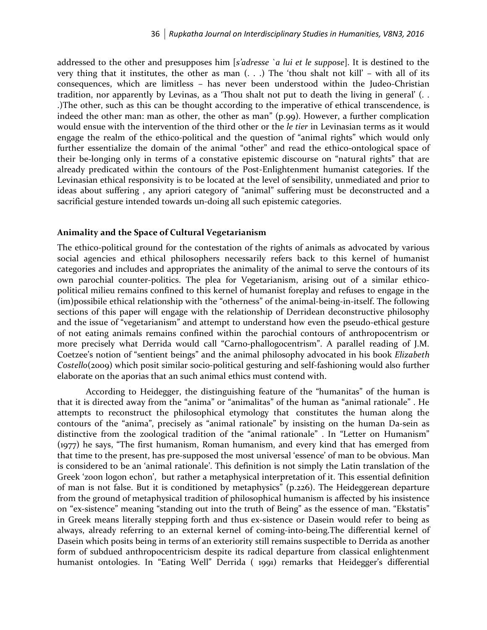addressed to the other and presupposes him [*s'adresse `a lui et le suppose*]. It is destined to the very thing that it institutes, the other as man  $( . . .)$  The 'thou shalt not kill' – with all of its consequences, which are limitless – has never been understood within the Judeo-Christian tradition, nor apparently by Levinas, as a 'Thou shalt not put to death the living in general' (. . .)The other, such as this can be thought according to the imperative of ethical transcendence, is indeed the other man: man as other, the other as man" (p.99). However, a further complication would ensue with the intervention of the third other or the *le tier* in Levinasian terms as it would engage the realm of the ethico-political and the question of "animal rights" which would only further essentialize the domain of the animal "other" and read the ethico-ontological space of their be-longing only in terms of a constative epistemic discourse on "natural rights" that are already predicated within the contours of the Post-Enlightenment humanist categories. If the Levinasian ethical responsivity is to be located at the level of sensibility, unmediated and prior to ideas about suffering , any apriori category of "animal" suffering must be deconstructed and a sacrificial gesture intended towards un-doing all such epistemic categories.

#### **Animality and the Space of Cultural Vegetarianism**

The ethico-political ground for the contestation of the rights of animals as advocated by various social agencies and ethical philosophers necessarily refers back to this kernel of humanist categories and includes and appropriates the animality of the animal to serve the contours of its own parochial counter-politics. The plea for Vegetarianism, arising out of a similar ethicopolitical milieu remains confined to this kernel of humanist foreplay and refuses to engage in the (im)possibile ethical relationship with the "otherness" of the animal-being-in-itself. The following sections of this paper will engage with the relationship of Derridean deconstructive philosophy and the issue of "vegetarianism" and attempt to understand how even the pseudo-ethical gesture of not eating animals remains confined within the parochial contours of anthropocentrism or more precisely what Derrida would call "Carno-phallogocentrism". A parallel reading of J.M. Coetzee's notion of "sentient beings" and the animal philosophy advocated in his book *Elizabeth Costello*(2009) which posit similar socio-political gesturing and self-fashioning would also further elaborate on the aporias that an such animal ethics must contend with.

According to Heidegger, the distinguishing feature of the "humanitas" of the human is that it is directed away from the "anima" or "animalitas" of the human as "animal rationale" . He attempts to reconstruct the philosophical etymology that constitutes the human along the contours of the "anima", precisely as "animal rationale" by insisting on the human Da-sein as distinctive from the zoological tradition of the "animal rationale" . In "Letter on Humanism" (1977) he says, "The first humanism, Roman humanism, and every kind that has emerged from that time to the present, has pre-supposed the most universal 'essence' of man to be obvious. Man is considered to be an 'animal rationale'. This definition is not simply the Latin translation of the Greek 'zoon logon echon', but rather a metaphysical interpretation of it. This essential definition of man is not false. But it is conditioned by metaphysics" (p.226). The Heideggerean departure from the ground of metaphysical tradition of philosophical humanism is affected by his insistence on "ex-sistence" meaning "standing out into the truth of Being" as the essence of man. "Ekstatis" in Greek means literally stepping forth and thus ex-sistence or Dasein would refer to being as always, already referring to an external kernel of coming-into-being.The differential kernel of Dasein which posits being in terms of an exteriority still remains suspectible to Derrida as another form of subdued anthropocentricism despite its radical departure from classical enlightenment humanist ontologies. In "Eating Well" Derrida ( 1991) remarks that Heidegger's differential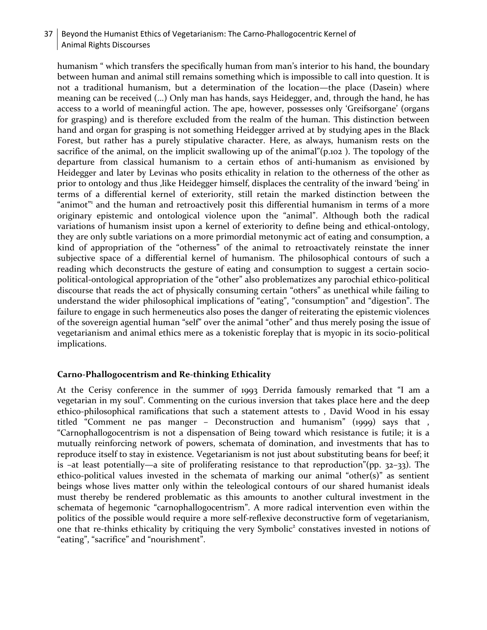# 37 Beyond the Humanist Ethics of Vegetarianism: The Carno-Phallogocentric Kernel of Animal Rights Discourses

humanism " which transfers the specifically human from man's interior to his hand, the boundary between human and animal still remains something which is impossible to call into question. It is not a traditional humanism, but a determination of the location—the place (Dasein) where meaning can be received (...) Only man has hands, says Heidegger, and, through the hand, he has access to a world of meaningful action. The ape, however, possesses only 'Greifsorgane' (organs for grasping) and is therefore excluded from the realm of the human. This distinction between hand and organ for grasping is not something Heidegger arrived at by studying apes in the Black Forest, but rather has a purely stipulative character. Here, as always, humanism rests on the sacrifice of the animal, on the implicit swallowing up of the animal"(p.102 ). The topology of the departure from classical humanism to a certain ethos of anti-humanism as envisioned by Heidegger and later by Levinas who posits ethicality in relation to the otherness of the other as prior to ontology and thus , like Heidegger himself, displaces the centrality of the inward 'being' in terms of a differential kernel of exteriority, still retain the marked distinction between the "animot" and the human and retroactively posit this differential humanism in terms of a more originary epistemic and ontological violence upon the "animal". Although both the radical variations of humanism insist upon a kernel of exteriority to define being and ethical-ontology, they are only subtle variations on a more primordial metonymic act of eating and consumption, a kind of appropriation of the "otherness" of the animal to retroactivately reinstate the inner subjective space of a differential kernel of humanism. The philosophical contours of such a reading which deconstructs the gesture of eating and consumption to suggest a certain sociopolitical-ontological appropriation of the "other" also problematizes any parochial ethico-political discourse that reads the act of physically consuming certain "others" as unethical while failing to understand the wider philosophical implications of "eating", "consumption" and "digestion". The failure to engage in such hermeneutics also poses the danger of reiterating the epistemic violences of the sovereign agential human "self" over the animal "other" and thus merely posing the issue of vegetarianism and animal ethics mere as a tokenistic foreplay that is myopic in its socio-political implications.

# **Carno-Phallogocentrism and Re-thinking Ethicality**

At the Cerisy conference in the summer of 1993 Derrida famously remarked that "I am a vegetarian in my soul". Commenting on the curious inversion that takes place here and the deep ethico-philosophical ramifications that such a statement attests to , David Wood in his essay titled "Comment ne pas manger – Deconstruction and humanism" (1999) says that , "Carnophallogocentrism is not a dispensation of Being toward which resistance is futile; it is a mutually reinforcing network of powers, schemata of domination, and investments that has to reproduce itself to stay in existence. Vegetarianism is not just about substituting beans for beef; it is –at least potentially—a site of proliferating resistance to that reproduction"(pp. 32–33). The ethico-political values invested in the schemata of marking our animal "other(s)" as sentient beings whose lives matter only within the teleological contours of our shared humanist ideals must thereby be rendered problematic as this amounts to another cultural investment in the schemata of hegemonic "carnophallogocentrism". A more radical intervention even within the politics of the possible would require a more self-reflexive deconstructive form of vegetarianism, one that re-thinks ethicality by critiquing the very Symbolic<sup>2</sup> constatives invested in notions of "eating", "sacrifice" and "nourishment".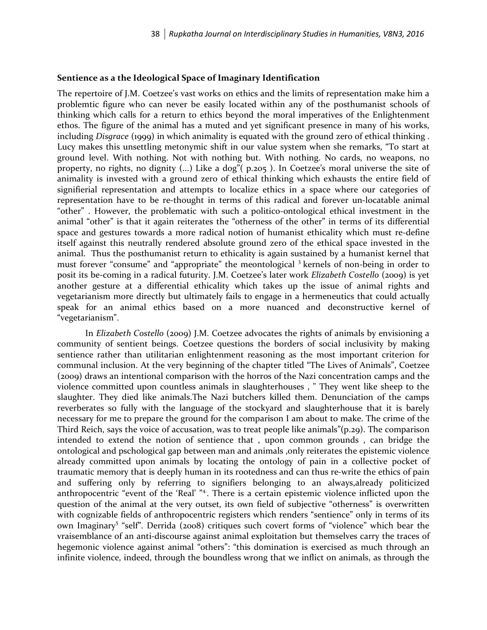#### **Sentience as a the Ideological Space of Imaginary Identification**

The repertoire of J.M. Coetzee's vast works on ethics and the limits of representation make him a problemtic figure who can never be easily located within any of the posthumanist schools of thinking which calls for a return to ethics beyond the moral imperatives of the Enlightenment ethos. The figure of the animal has a muted and yet significant presence in many of his works, including *Disgrace* (1999) in which animality is equated with the ground zero of ethical thinking . Lucy makes this unsettling metonymic shift in our value system when she remarks, "To start at ground level. With nothing. Not with nothing but. With nothing. No cards, no weapons, no property, no rights, no dignity (...) Like a dog"( p.205 ). In Coetzee's moral universe the site of animality is invested with a ground zero of ethical thinking which exhausts the entire field of signifierial representation and attempts to localize ethics in a space where our categories of representation have to be re-thought in terms of this radical and forever un-locatable animal "other" . However, the problematic with such a politico-ontological ethical investment in the animal "other" is that it again reiterates the "otherness of the other" in terms of its differential space and gestures towards a more radical notion of humanist ethicality which must re-define itself against this neutrally rendered absolute ground zero of the ethical space invested in the animal. Thus the posthumanist return to ethicality is again sustained by a humanist kernel that must forever "consume" and "appropriate" the meontological <sup>3</sup> kernels of non-being in order to posit its be-coming in a radical futurity. J.M. Coetzee's later work *Elizabeth Costello* (2009) is yet another gesture at a differential ethicality which takes up the issue of animal rights and vegetarianism more directly but ultimately fails to engage in a hermeneutics that could actually speak for an animal ethics based on a more nuanced and deconstructive kernel of "vegetarianism".

In *Elizabeth Costello* (2009) J.M. Coetzee advocates the rights of animals by envisioning a community of sentient beings. Coetzee questions the borders of social inclusivity by making sentience rather than utilitarian enlightenment reasoning as the most important criterion for communal inclusion. At the very beginning of the chapter titled "The Lives of Animals", Coetzee (2009) draws an intentional comparison with the horros of the Nazi concentration camps and the violence committed upon countless animals in slaughterhouses , " They went like sheep to the slaughter. They died like animals.The Nazi butchers killed them. Denunciation of the camps reverberates so fully with the language of the stockyard and slaughterhouse that it is barely necessary for me to prepare the ground for the comparison I am about to make. The crime of the Third Reich, says the voice of accusation, was to treat people like animals"(p.29). The comparison intended to extend the notion of sentience that , upon common grounds , can bridge the ontological and pschological gap between man and animals ,only reiterates the epistemic violence already committed upon animals by locating the ontology of pain in a collective pocket of traumatic memory that is deeply human in its rootedness and can thus re-write the ethics of pain and suffering only by referring to signifiers belonging to an always,already politicized anthropocentric "event of the 'Real' "<sup>4</sup>. There is a certain epistemic violence inflicted upon the question of the animal at the very outset, its own field of subjective "otherness" is overwritten with cognizable fields of anthropocentric registers which renders "sentience" only in terms of its own Imaginary<sup>5</sup> "self". Derrida (2008) critiques such covert forms of "violence" which bear the vraisemblance of an anti-discourse against animal exploitation but themselves carry the traces of hegemonic violence against animal "others": "this domination is exercised as much through an infinite violence, indeed, through the boundless wrong that we inflict on animals, as through the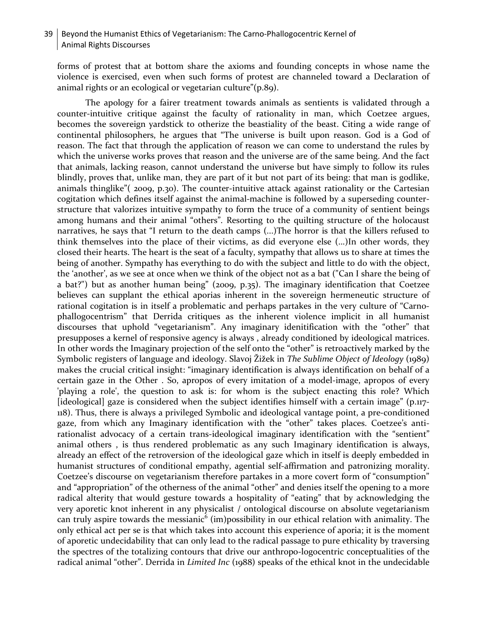# 39 Beyond the Humanist Ethics of Vegetarianism: The Carno-Phallogocentric Kernel of Animal Rights Discourses

forms of protest that at bottom share the axioms and founding concepts in whose name the violence is exercised, even when such forms of protest are channeled toward a Declaration of animal rights or an ecological or vegetarian culture"(p.89).

The apology for a fairer treatment towards animals as sentients is validated through a counter-intuitive critique against the faculty of rationality in man, which Coetzee argues, becomes the sovereign yardstick to otherize the beastiality of the beast. Citing a wide range of continental philosophers, he argues that "The universe is built upon reason. God is a God of reason. The fact that through the application of reason we can come to understand the rules by which the universe works proves that reason and the universe are of the same being. And the fact that animals, lacking reason, cannot understand the universe but have simply to follow its rules blindly, proves that, unlike man, they are part of it but not part of its being: that man is godlike, animals thinglike"( 2009, p.30). The counter-intuitive attack against rationality or the Cartesian cogitation which defines itself against the animal-machine is followed by a superseding counterstructure that valorizes intuitive sympathy to form the truce of a community of sentient beings among humans and their animal "others". Resorting to the quilting structure of the holocaust narratives, he says that "I return to the death camps (...)The horror is that the killers refused to think themselves into the place of their victims, as did everyone else (...)In other words, they closed their hearts. The heart is the seat of a faculty, sympathy that allows us to share at times the being of another. Sympathy has everything to do with the subject and little to do with the object, the 'another', as we see at once when we think of the object not as a bat ("Can I share the being of a bat?") but as another human being" (2009, p.35). The imaginary identification that Coetzee believes can supplant the ethical aporias inherent in the sovereign hermeneutic structure of rational cogitation is in itself a problematic and perhaps partakes in the very culture of "Carnophallogocentrism" that Derrida critiques as the inherent violence implicit in all humanist discourses that uphold "vegetarianism". Any imaginary idenitification with the "other" that presupposes a kernel of responsive agency is always , already conditioned by ideological matrices. In other words the Imaginary projection of the self onto the "other" is retroactively marked by the Symbolic registers of language and ideology. Slavoj Žižek in *The Sublime Object of Ideology* (1989) makes the crucial critical insight: "imaginary identification is always identification on behalf of a certain gaze in the Other . So, apropos of every imitation of a model-image, apropos of every 'playing a role', the question to ask is: for whom is the subject enacting this role? Which [ideological] gaze is considered when the subject identifies himself with a certain image" (p.117- 118). Thus, there is always a privileged Symbolic and ideological vantage point, a pre-conditioned gaze, from which any Imaginary identification with the "other" takes places. Coetzee's antirationalist advocacy of a certain trans-ideological imaginary identification with the "sentient" animal others , is thus rendered problematic as any such Imaginary identification is always, already an effect of the retroversion of the ideological gaze which in itself is deeply embedded in humanist structures of conditional empathy, agential self-affirmation and patronizing morality. Coetzee's discourse on vegetarianism therefore partakes in a more covert form of "consumption" and "appropriation" of the otherness of the animal "other" and denies itself the opening to a more radical alterity that would gesture towards a hospitality of "eating" that by acknowledging the very aporetic knot inherent in any physicalist / ontological discourse on absolute vegetarianism can truly aspire towards the messianic<sup>6</sup> (im)possibility in our ethical relation with animality. The only ethical act per se is that which takes into account this experience of aporia; it is the moment of aporetic undecidability that can only lead to the radical passage to pure ethicality by traversing the spectres of the totalizing contours that drive our anthropo-logocentric conceptualities of the radical animal "other". Derrida in *Limited Inc* (1988) speaks of the ethical knot in the undecidable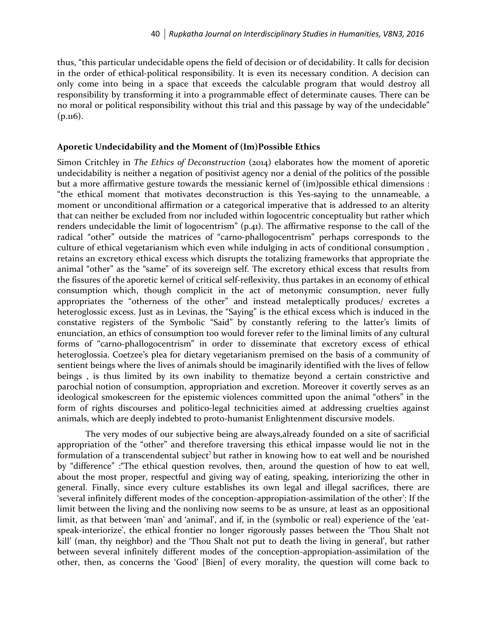thus, "this particular undecidable opens the field of decision or of decidability. It calls for decision in the order of ethical-political responsibility. It is even its necessary condition. A decision can only come into being in a space that exceeds the calculable program that would destroy all responsibility by transforming it into a programmable effect of determinate causes. There can be no moral or political responsibility without this trial and this passage by way of the undecidable" (p.116).

#### **Aporetic Undecidability and the Moment of (Im)Possible Ethics**

Simon Critchley in *The Ethics of Deconstruction* (2014) elaborates how the moment of aporetic undecidability is neither a negation of positivist agency nor a denial of the politics of the possible but a more affirmative gesture towards the messianic kernel of (im)possible ethical dimensions : "the ethical moment that motivates deconstruction is this Yes-saying to the unnameable, a moment or unconditional affirmation or a categorical imperative that is addressed to an alterity that can neither be excluded from nor included within logocentric conceptuality but rather which renders undecidable the limit of logocentrism" (p.41). The affirmative response to the call of the radical "other" outside the matrices of "carno-phallogocentrism" perhaps corresponds to the culture of ethical vegetarianism which even while indulging in acts of conditional consumption , retains an excretory ethical excess which disrupts the totalizing frameworks that appropriate the animal "other" as the "same" of its sovereign self. The excretory ethical excess that results from the fissures of the aporetic kernel of critical self-reflexivity, thus partakes in an economy of ethical consumption which, though complicit in the act of metonymic consumption, never fully appropriates the "otherness of the other" and instead metaleptically produces/ excretes a heteroglossic excess. Just as in Levinas, the "Saying" is the ethical excess which is induced in the constative registers of the Symbolic "Said" by constantly refering to the latter's limits of enunciation, an ethics of consumption too would forever refer to the liminal limits of any cultural forms of "carno-phallogocentrism" in order to disseminate that excretory excess of ethical heteroglossia. Coetzee's plea for dietary vegetarianism premised on the basis of a community of sentient beings where the lives of animals should be imaginarily identified with the lives of fellow beings , is thus limited by its own inability to thematize beyond a certain constrictive and parochial notion of consumption, appropriation and excretion. Moreover it covertly serves as an ideological smokescreen for the epistemic violences committed upon the animal "others" in the form of rights discourses and politico-legal technicities aimed at addressing cruelties against animals, which are deeply indebted to proto-humanist Enlightenment discursive models.

The very modes of our subjective being are always,already founded on a site of sacrificial appropriation of the "other" and therefore traversing this ethical impasse would lie not in the formulation of a transcendental subject<sup>7</sup> but rather in knowing how to eat well and be nourished by "difference" :"The ethical question revolves, then, around the question of how to eat well, about the most proper, respectful and giving way of eating, speaking, interiorizing the other in general. Finally, since every culture establishes its own legal and illegal sacrifices, there are 'several infinitely different modes of the conception-appropiation-assimilation of the other': If the limit between the living and the nonliving now seems to be as unsure, at least as an oppositional limit, as that between 'man' and 'animal', and if, in the (symbolic or real) experience of the 'eatspeak-interiorize', the ethical frontier no longer rigorously passes between the 'Thou Shalt not kill' (man, thy neighbor) and the 'Thou Shalt not put to death the living in general', but rather between several infinitely different modes of the conception-appropiation-assimilation of the other, then, as concerns the 'Good' [Bien] of every morality, the question will come back to